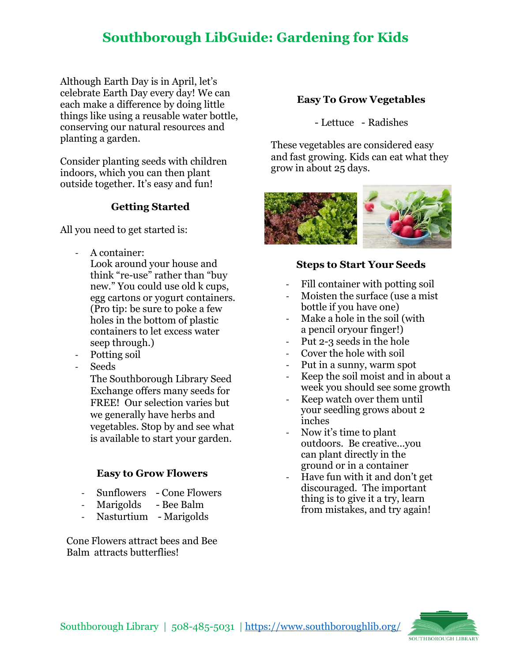## **Southborough LibGuide: Gardening for Kids**

Although Earth Day is in April, let's celebrate Earth Day every day! We can each make a difference by doing little things like using a reusable water bottle, conserving our natural resources and planting a garden.

Consider planting seeds with children indoors, which you can then plant outside together. It's easy and fun!

## **Getting Started**

All you need to get started is:

- A container: Look around your house and think "re-use" rather than "buy new." You could use old k cups, egg cartons or yogurt containers. (Pro tip: be sure to poke a few holes in the bottom of plastic containers to let excess water seep through.)
- Potting soil
- Seeds

The Southborough Library Seed Exchange offers many seeds for FREE! Our selection varies but we generally have herbs and vegetables. Stop by and see what is available to start your garden.

#### **Easy to Grow Flowers**

- Sunflowers Cone Flowers
- Marigolds Bee Balm
- Nasturtium Marigolds

Cone Flowers attract bees and Bee Balm attracts butterflies!

#### **Easy To Grow Vegetables**

- Lettuce - Radishes

These vegetables are considered easy and fast growing. Kids can eat what they grow in about 25 days.



#### **Steps to Start Your Seeds**

- Fill container with potting soil
- Moisten the surface (use a mist) bottle if you have one)
- Make a hole in the soil (with a pencil or your finger!)
- Put 2-3 seeds in the hole
- Cover the hole with soil
- Put in a sunny, warm spot
- Keep the soil moist and in about a week you should see some growth
- Keep watch over them until your seedling grows about 2 inches
- Now it's time to plant outdoors. Be creative...you can plant directly in the ground or in a container
- Have fun with it and don't get discouraged. The important thing is to give it a try, learn from mistakes, and try again!